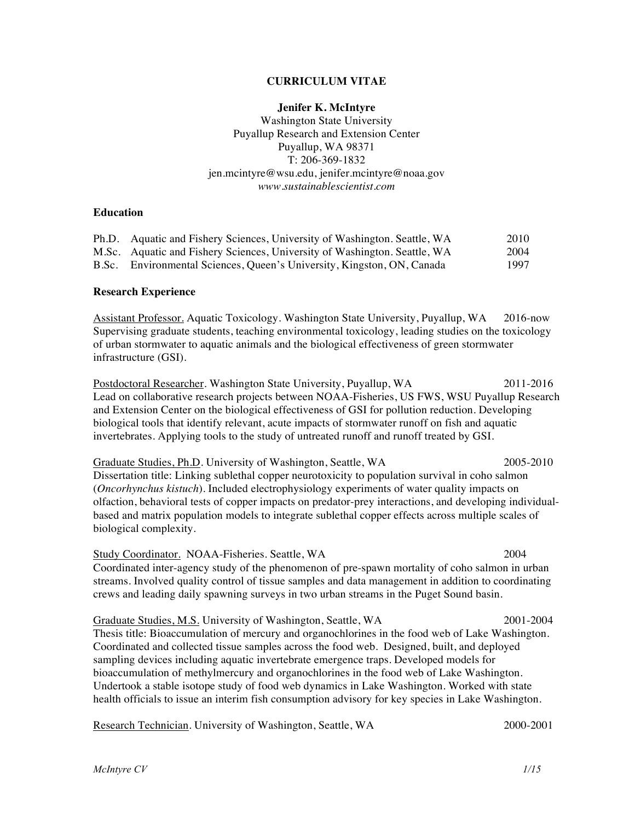#### **CURRICULUM VITAE**

#### **Jenifer K. McIntyre**

Washington State University Puyallup Research and Extension Center Puyallup, WA 98371 T: 206-369-1832 jen.mcintyre@wsu.edu, jenifer.mcintyre@noaa.gov *www.sustainablescientist.com*

### **Education**

| Ph.D. Aquatic and Fishery Sciences, University of Washington. Seattle, WA | 2010 |
|---------------------------------------------------------------------------|------|
| M.Sc. Aquatic and Fishery Sciences, University of Washington. Seattle, WA | 2004 |
| B.Sc. Environmental Sciences, Queen's University, Kingston, ON, Canada    | 1997 |

#### **Research Experience**

Assistant Professor. Aquatic Toxicology. Washington State University, Puyallup, WA 2016-now Supervising graduate students, teaching environmental toxicology, leading studies on the toxicology of urban stormwater to aquatic animals and the biological effectiveness of green stormwater infrastructure (GSI).

Postdoctoral Researcher. Washington State University, Puyallup, WA 2011-2016 Lead on collaborative research projects between NOAA-Fisheries, US FWS, WSU Puyallup Research and Extension Center on the biological effectiveness of GSI for pollution reduction. Developing biological tools that identify relevant, acute impacts of stormwater runoff on fish and aquatic invertebrates. Applying tools to the study of untreated runoff and runoff treated by GSI.

Graduate Studies, Ph.D. University of Washington, Seattle, WA 2005-2010 Dissertation title: Linking sublethal copper neurotoxicity to population survival in coho salmon (*Oncorhynchus kistuch*). Included electrophysiology experiments of water quality impacts on olfaction, behavioral tests of copper impacts on predator-prey interactions, and developing individualbased and matrix population models to integrate sublethal copper effects across multiple scales of biological complexity.

Study Coordinator. NOAA-Fisheries. Seattle, WA 2004 Coordinated inter-agency study of the phenomenon of pre-spawn mortality of coho salmon in urban streams. Involved quality control of tissue samples and data management in addition to coordinating crews and leading daily spawning surveys in two urban streams in the Puget Sound basin.

Graduate Studies, M.S. University of Washington, Seattle, WA 2001-2004 Thesis title: Bioaccumulation of mercury and organochlorines in the food web of Lake Washington. Coordinated and collected tissue samples across the food web. Designed, built, and deployed sampling devices including aquatic invertebrate emergence traps. Developed models for bioaccumulation of methylmercury and organochlorines in the food web of Lake Washington. Undertook a stable isotope study of food web dynamics in Lake Washington. Worked with state health officials to issue an interim fish consumption advisory for key species in Lake Washington.

Research Technician. University of Washington, Seattle, WA 2000-2001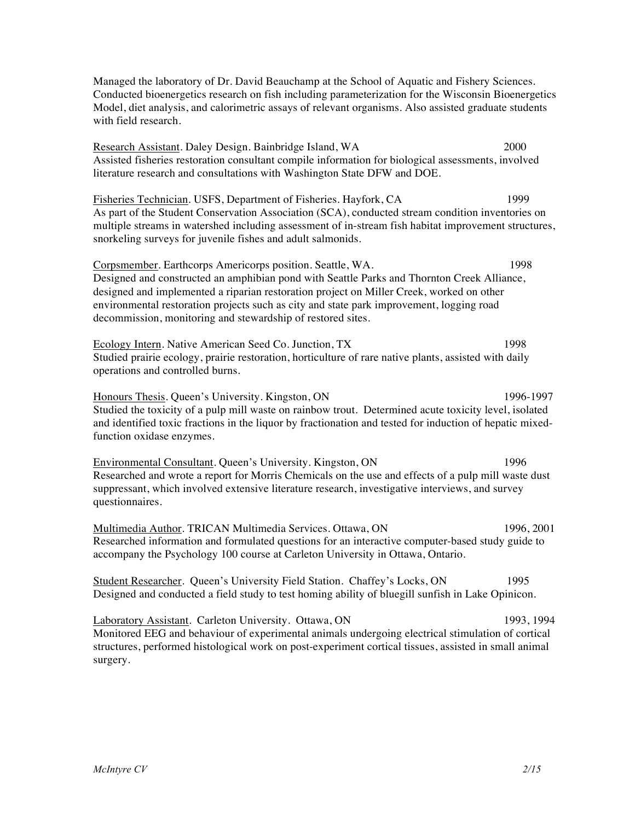Managed the laboratory of Dr. David Beauchamp at the School of Aquatic and Fishery Sciences. Conducted bioenergetics research on fish including parameterization for the Wisconsin Bioenergetics Model, diet analysis, and calorimetric assays of relevant organisms. Also assisted graduate students with field research.

Research Assistant. Daley Design. Bainbridge Island, WA 2000 Assisted fisheries restoration consultant compile information for biological assessments, involved literature research and consultations with Washington State DFW and DOE.

Fisheries Technician. USFS, Department of Fisheries. Hayfork, CA 1999 As part of the Student Conservation Association (SCA), conducted stream condition inventories on multiple streams in watershed including assessment of in-stream fish habitat improvement structures, snorkeling surveys for juvenile fishes and adult salmonids.

Corpsmember. Earthcorps Americorps position. Seattle, WA. 1998 Designed and constructed an amphibian pond with Seattle Parks and Thornton Creek Alliance, designed and implemented a riparian restoration project on Miller Creek, worked on other environmental restoration projects such as city and state park improvement, logging road decommission, monitoring and stewardship of restored sites.

Ecology Intern. Native American Seed Co. Junction, TX 1998 Studied prairie ecology, prairie restoration, horticulture of rare native plants, assisted with daily operations and controlled burns.

Honours Thesis. Queen's University. Kingston, ON 1996-1997 Studied the toxicity of a pulp mill waste on rainbow trout. Determined acute toxicity level, isolated and identified toxic fractions in the liquor by fractionation and tested for induction of hepatic mixedfunction oxidase enzymes.

Environmental Consultant. Queen's University. Kingston, ON 1996 Researched and wrote a report for Morris Chemicals on the use and effects of a pulp mill waste dust suppressant, which involved extensive literature research, investigative interviews, and survey questionnaires.

Multimedia Author. TRICAN Multimedia Services. Ottawa, ON 1996, 2001 Researched information and formulated questions for an interactive computer-based study guide to accompany the Psychology 100 course at Carleton University in Ottawa, Ontario.

Student Researcher. Queen's University Field Station. Chaffey's Locks, ON 1995 Designed and conducted a field study to test homing ability of bluegill sunfish in Lake Opinicon.

Laboratory Assistant. Carleton University. Ottawa, ON 1993, 1994 Monitored EEG and behaviour of experimental animals undergoing electrical stimulation of cortical structures, performed histological work on post-experiment cortical tissues, assisted in small animal surgery.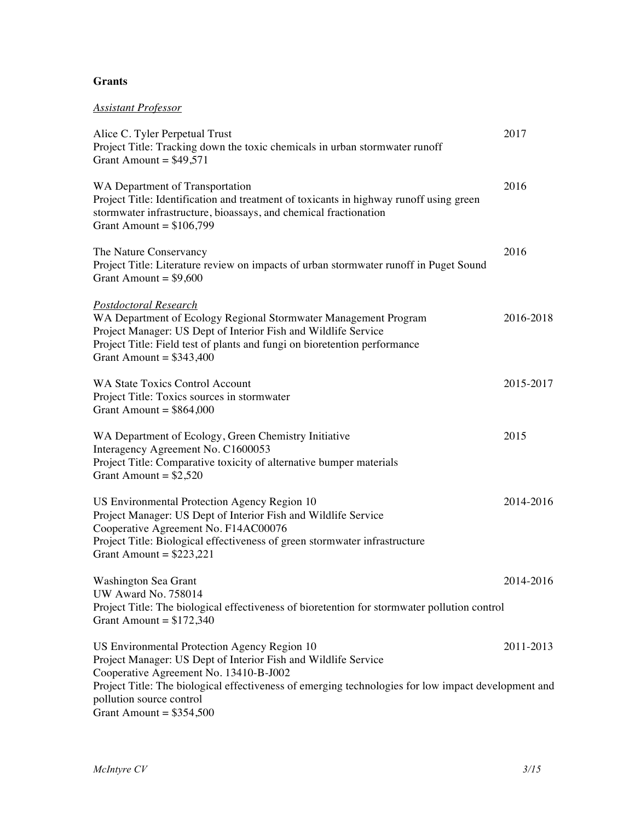## **Grants**

# *Assistant Professor*

| Alice C. Tyler Perpetual Trust<br>Project Title: Tracking down the toxic chemicals in urban stormwater runoff<br>Grant Amount = $$49,571$                                                                                                                                   | 2017      |
|-----------------------------------------------------------------------------------------------------------------------------------------------------------------------------------------------------------------------------------------------------------------------------|-----------|
| WA Department of Transportation<br>Project Title: Identification and treatment of toxicants in highway runoff using green<br>stormwater infrastructure, bioassays, and chemical fractionation<br>Grant Amount = $$106,799$                                                  | 2016      |
| The Nature Conservancy<br>Project Title: Literature review on impacts of urban stormwater runoff in Puget Sound<br>Grant Amount = $$9,600$                                                                                                                                  | 2016      |
| <u>Postdoctoral Research</u><br>WA Department of Ecology Regional Stormwater Management Program<br>Project Manager: US Dept of Interior Fish and Wildlife Service<br>Project Title: Field test of plants and fungi on bioretention performance<br>Grant Amount = $$343,400$ | 2016-2018 |
| <b>WA State Toxics Control Account</b><br>Project Title: Toxics sources in stormwater<br>Grant Amount = $$864,000$                                                                                                                                                          | 2015-2017 |
| WA Department of Ecology, Green Chemistry Initiative<br>Interagency Agreement No. C1600053<br>Project Title: Comparative toxicity of alternative bumper materials<br>Grant Amount = $$2,520$                                                                                | 2015      |
| US Environmental Protection Agency Region 10<br>Project Manager: US Dept of Interior Fish and Wildlife Service<br>Cooperative Agreement No. F14AC00076<br>Project Title: Biological effectiveness of green stormwater infrastructure<br>Grant Amount = $$223,221$           | 2014-2016 |
| Washington Sea Grant<br>UW Award No. 758014<br>Project Title: The biological effectiveness of bioretention for stormwater pollution control<br>Grant Amount = $$172,340$                                                                                                    | 2014-2016 |
| US Environmental Protection Agency Region 10<br>Project Manager: US Dept of Interior Fish and Wildlife Service<br>Cooperative Agreement No. 13410-B-J002                                                                                                                    | 2011-2013 |
| Project Title: The biological effectiveness of emerging technologies for low impact development and<br>pollution source control<br>Grant Amount = $$354,500$                                                                                                                |           |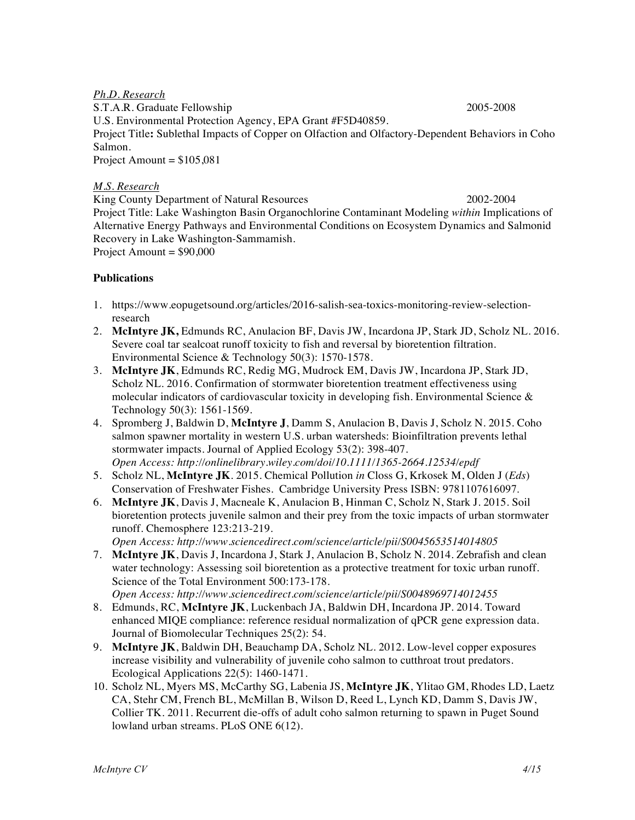*Ph.D. Research* S.T.A.R. Graduate Fellowship 2005-2008 U.S. Environmental Protection Agency, EPA Grant #F5D40859. Project Title**:** Sublethal Impacts of Copper on Olfaction and Olfactory-Dependent Behaviors in Coho Salmon. Project Amount =  $$105,081$ 

### *M.S. Research*

King County Department of Natural Resources 2002-2004 Project Title: Lake Washington Basin Organochlorine Contaminant Modeling *within* Implications of Alternative Energy Pathways and Environmental Conditions on Ecosystem Dynamics and Salmonid Recovery in Lake Washington-Sammamish. Project Amount =  $$90,000$ 

### **Publications**

- 1. https://www.eopugetsound.org/articles/2016-salish-sea-toxics-monitoring-review-selectionresearch
- 2. **McIntyre JK,** Edmunds RC, Anulacion BF, Davis JW, Incardona JP, Stark JD, Scholz NL. 2016. Severe coal tar sealcoat runoff toxicity to fish and reversal by bioretention filtration. Environmental Science & Technology 50(3): 1570-1578.
- 3. **McIntyre JK**, Edmunds RC, Redig MG, Mudrock EM, Davis JW, Incardona JP, Stark JD, Scholz NL. 2016. Confirmation of stormwater bioretention treatment effectiveness using molecular indicators of cardiovascular toxicity in developing fish. Environmental Science  $\&$ Technology 50(3): 1561-1569.
- 4. Spromberg J, Baldwin D, **McIntyre J**, Damm S, Anulacion B, Davis J, Scholz N. 2015. Coho salmon spawner mortality in western U.S. urban watersheds: Bioinfiltration prevents lethal stormwater impacts. Journal of Applied Ecology 53(2): 398-407. *Open Access: http://onlinelibrary.wiley.com/doi/10.1111/1365-2664.12534/epdf*
- 5. Scholz NL, **McIntyre JK**. 2015*.* Chemical Pollution *in* Closs G, Krkosek M, Olden J (*Eds*) Conservation of Freshwater Fishes. Cambridge University Press ISBN: 9781107616097.
- 6. **McIntyre JK**, Davis J, Macneale K, Anulacion B, Hinman C, Scholz N, Stark J. 2015. Soil bioretention protects juvenile salmon and their prey from the toxic impacts of urban stormwater runoff. Chemosphere 123:213-219. *Open Access: http://www.sciencedirect.com/science/article/pii/S0045653514014805*
- 7. **McIntyre JK**, Davis J, Incardona J, Stark J, Anulacion B, Scholz N. 2014. Zebrafish and clean water technology: Assessing soil bioretention as a protective treatment for toxic urban runoff. Science of the Total Environment 500:173-178. *Open Access: http://www.sciencedirect.com/science/article/pii/S0048969714012455*
- 8. Edmunds, RC, **McIntyre JK**, Luckenbach JA, Baldwin DH, Incardona JP. 2014. Toward enhanced MIQE compliance: reference residual normalization of qPCR gene expression data. Journal of Biomolecular Techniques 25(2): 54.
- 9. **McIntyre JK**, Baldwin DH, Beauchamp DA, Scholz NL. 2012. Low-level copper exposures increase visibility and vulnerability of juvenile coho salmon to cutthroat trout predators. Ecological Applications 22(5): 1460-1471.
- 10. Scholz NL, Myers MS, McCarthy SG, Labenia JS, **McIntyre JK**, Ylitao GM, Rhodes LD, Laetz CA, Stehr CM, French BL, McMillan B, Wilson D, Reed L, Lynch KD, Damm S, Davis JW, Collier TK. 2011. Recurrent die-offs of adult coho salmon returning to spawn in Puget Sound lowland urban streams. PLoS ONE 6(12).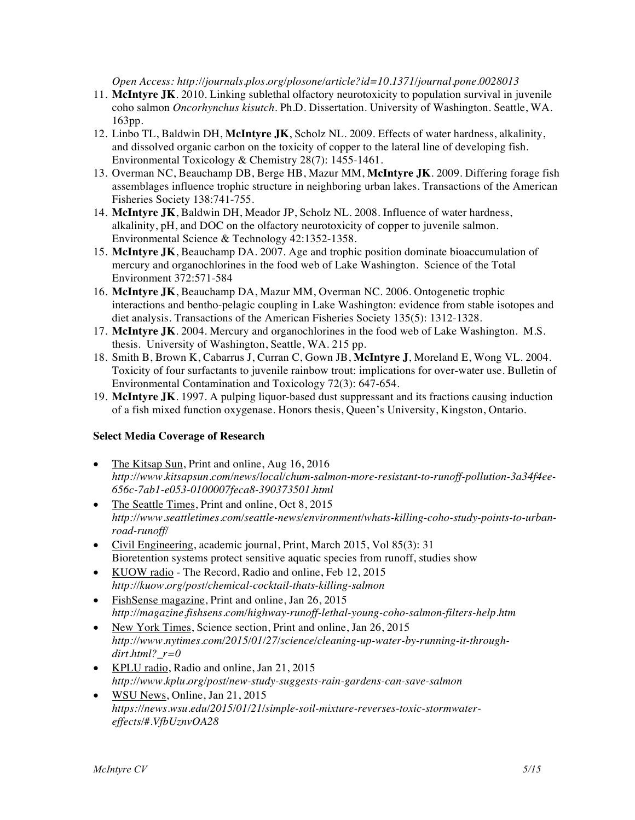*Open Access: http://journals.plos.org/plosone/article?id=10.1371/journal.pone.0028013*

- 11. **McIntyre JK**. 2010. Linking sublethal olfactory neurotoxicity to population survival in juvenile coho salmon *Oncorhynchus kisutch*. Ph.D. Dissertation. University of Washington. Seattle, WA. 163pp.
- 12. Linbo TL, Baldwin DH, **McIntyre JK**, Scholz NL. 2009. Effects of water hardness, alkalinity, and dissolved organic carbon on the toxicity of copper to the lateral line of developing fish. Environmental Toxicology & Chemistry 28(7): 1455-1461.
- 13. Overman NC, Beauchamp DB, Berge HB, Mazur MM, **McIntyre JK**. 2009. Differing forage fish assemblages influence trophic structure in neighboring urban lakes. Transactions of the American Fisheries Society 138:741-755.
- 14. **McIntyre JK**, Baldwin DH, Meador JP, Scholz NL. 2008. Influence of water hardness, alkalinity, pH, and DOC on the olfactory neurotoxicity of copper to juvenile salmon. Environmental Science & Technology 42:1352-1358.
- 15. **McIntyre JK**, Beauchamp DA. 2007. Age and trophic position dominate bioaccumulation of mercury and organochlorines in the food web of Lake Washington. Science of the Total Environment 372:571-584
- 16. **McIntyre JK**, Beauchamp DA, Mazur MM, Overman NC. 2006. Ontogenetic trophic interactions and bentho-pelagic coupling in Lake Washington: evidence from stable isotopes and diet analysis. Transactions of the American Fisheries Society 135(5): 1312-1328.
- 17. **McIntyre JK**. 2004. Mercury and organochlorines in the food web of Lake Washington. M.S. thesis. University of Washington, Seattle, WA. 215 pp.
- 18. Smith B, Brown K, Cabarrus J, Curran C, Gown JB, **McIntyre J**, Moreland E, Wong VL. 2004. Toxicity of four surfactants to juvenile rainbow trout: implications for over-water use. Bulletin of Environmental Contamination and Toxicology 72(3): 647-654.
- 19. **McIntyre JK**. 1997. A pulping liquor-based dust suppressant and its fractions causing induction of a fish mixed function oxygenase. Honors thesis, Queen's University, Kingston, Ontario.

## **Select Media Coverage of Research**

- The Kitsap Sun, Print and online, Aug 16, 2016 *http://www.kitsapsun.com/news/local/chum-salmon-more-resistant-to-runoff-pollution-3a34f4ee-656c-7ab1-e053-0100007feca8-390373501.html*
- The Seattle Times, Print and online, Oct 8, 2015 *http://www.seattletimes.com/seattle-news/environment/whats-killing-coho-study-points-to-urbanroad-runoff/*
- Civil Engineering, academic journal, Print, March 2015, Vol 85(3): 31 Bioretention systems protect sensitive aquatic species from runoff, studies show
- KUOW radio The Record, Radio and online, Feb 12, 2015 *http://kuow.org/post/chemical-cocktail-thats-killing-salmon*
- FishSense magazine, Print and online, Jan 26, 2015 *http://magazine.fishsens.com/highway-runoff-lethal-young-coho-salmon-filters-help.htm*
- New York Times, Science section, Print and online, Jan 26, 2015 *http://www.nytimes.com/2015/01/27/science/cleaning-up-water-by-running-it-throughdirt.html?\_r=0*
- KPLU radio, Radio and online, Jan 21, 2015 *http://www.kplu.org/post/new-study-suggests-rain-gardens-can-save-salmon*
- WSU News, Online, Jan 21, 2015 *https://news.wsu.edu/2015/01/21/simple-soil-mixture-reverses-toxic-stormwatereffects/#.VfbUznvOA28*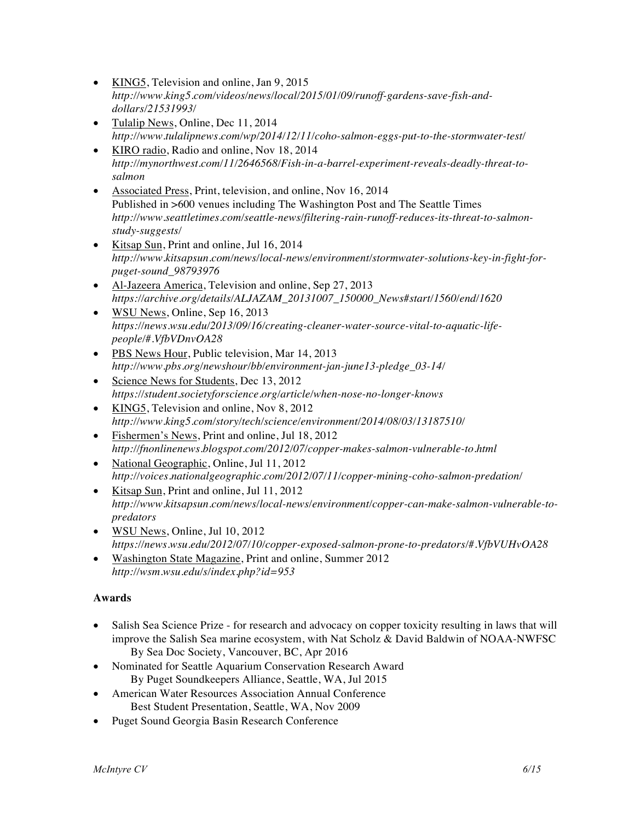- KING5, Television and online, Jan 9, 2015 *http://www.king5.com/videos/news/local/2015/01/09/runoff-gardens-save-fish-anddollars/21531993/*
- Tulalip News, Online, Dec 11, 2014 *http://www.tulalipnews.com/wp/2014/12/11/coho-salmon-eggs-put-to-the-stormwater-test/*
- KIRO radio, Radio and online, Nov 18, 2014 *http://mynorthwest.com/11/2646568/Fish-in-a-barrel-experiment-reveals-deadly-threat-tosalmon*
- Associated Press, Print, television, and online, Nov 16, 2014 Published in >600 venues including The Washington Post and The Seattle Times *http://www.seattletimes.com/seattle-news/filtering-rain-runoff-reduces-its-threat-to-salmonstudy-suggests/*
- Kitsap Sun, Print and online, Jul 16, 2014 *http://www.kitsapsun.com/news/local-news/environment/stormwater-solutions-key-in-fight-forpuget-sound\_98793976*
- Al-Jazeera America, Television and online, Sep 27, 2013 *https://archive.org/details/ALJAZAM\_20131007\_150000\_News#start/1560/end/1620*
- WSU News, Online, Sep 16, 2013 *https://news.wsu.edu/2013/09/16/creating-cleaner-water-source-vital-to-aquatic-lifepeople/#.VfbVDnvOA28*
- PBS News Hour, Public television, Mar 14, 2013 *http://www.pbs.org/newshour/bb/environment-jan-june13-pledge\_03-14/*
- Science News for Students, Dec 13, 2012 *https://student.societyforscience.org/article/when-nose-no-longer-knows*
- KING5, Television and online, Nov 8, 2012 *http://www.king5.com/story/tech/science/environment/2014/08/03/13187510/*
- Fishermen's News, Print and online, Jul 18, 2012 *http://fnonlinenews.blogspot.com/2012/07/copper-makes-salmon-vulnerable-to.html*
- National Geographic, Online, Jul 11, 2012 *http://voices.nationalgeographic.com/2012/07/11/copper-mining-coho-salmon-predation/*
- Kitsap Sun, Print and online, Jul 11, 2012 *http://www.kitsapsun.com/news/local-news/environment/copper-can-make-salmon-vulnerable-topredators*
- WSU News, Online, Jul 10, 2012 *https://news.wsu.edu/2012/07/10/copper-exposed-salmon-prone-to-predators/#.VfbVUHvOA28*
- Washington State Magazine, Print and online, Summer 2012 *http://wsm.wsu.edu/s/index.php?id=953*

# **Awards**

- Salish Sea Science Prize for research and advocacy on copper toxicity resulting in laws that will improve the Salish Sea marine ecosystem, with Nat Scholz & David Baldwin of NOAA-NWFSC By Sea Doc Society, Vancouver, BC, Apr 2016
- Nominated for Seattle Aquarium Conservation Research Award By Puget Soundkeepers Alliance, Seattle, WA, Jul 2015
- American Water Resources Association Annual Conference Best Student Presentation, Seattle, WA, Nov 2009
- Puget Sound Georgia Basin Research Conference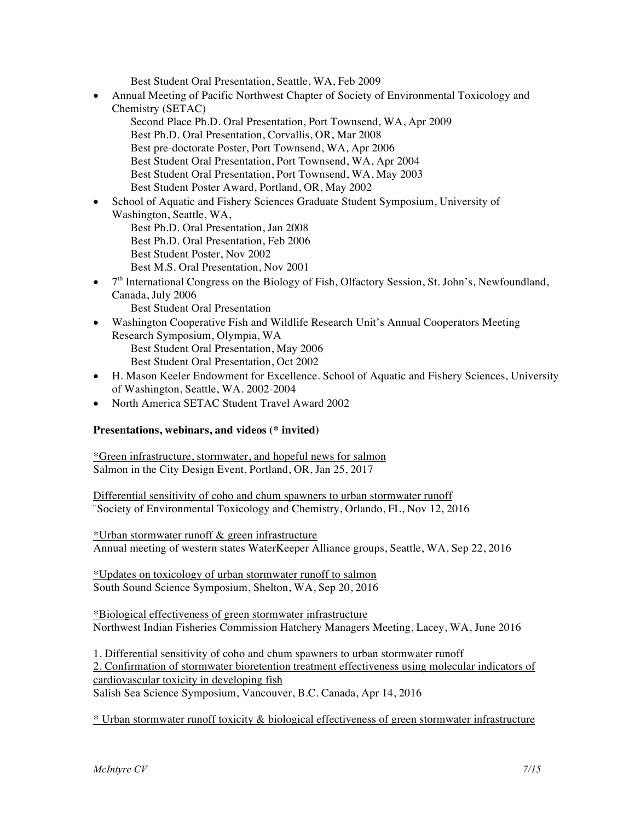Best Student Oral Presentation, Seattle, WA, Feb 2009

- Annual Meeting of Pacific Northwest Chapter of Society of Environmental Toxicology and Chemistry (SETAC)
	- Second Place Ph.D. Oral Presentation, Port Townsend, WA, Apr 2009 Best Ph.D. Oral Presentation, Corvallis, OR, Mar 2008 Best pre-doctorate Poster, Port Townsend, WA, Apr 2006 Best Student Oral Presentation, Port Townsend, WA, Apr 2004 Best Student Oral Presentation, Port Townsend, WA, May 2003 Best Student Poster Award, Portland, OR, May 2002
- School of Aquatic and Fishery Sciences Graduate Student Symposium, University of Washington, Seattle, WA, Best Ph.D. Oral Presentation, Jan 2008 Best Ph.D. Oral Presentation, Feb 2006 Best Student Poster, Nov 2002
	- Best M.S. Oral Presentation, Nov 2001
- $\bullet$   $7<sup>th</sup>$  International Congress on the Biology of Fish, Olfactory Session, St. John's, Newfoundland, Canada, July 2006

Best Student Oral Presentation

- Washington Cooperative Fish and Wildlife Research Unit's Annual Cooperators Meeting Research Symposium, Olympia, WA Best Student Oral Presentation, May 2006 Best Student Oral Presentation, Oct 2002
- H. Mason Keeler Endowment for Excellence. School of Aquatic and Fishery Sciences, University of Washington, Seattle, WA. 2002-2004
- North America SETAC Student Travel Award 2002

### **Presentations, webinars, and videos (\* invited)**

\*Green infrastructure, stormwater, and hopeful news for salmon Salmon in the City Design Event, Portland, OR, Jan 25, 2017

Differential sensitivity of coho and chum spawners to urban stormwater runoff ¨Society of Environmental Toxicology and Chemistry, Orlando, FL, Nov 12, 2016

\*Urban stormwater runoff & green infrastructure Annual meeting of western states WaterKeeper Alliance groups, Seattle, WA, Sep 22, 2016

\*Updates on toxicology of urban stormwater runoff to salmon South Sound Science Symposium, Shelton, WA, Sep 20, 2016

\*Biological effectiveness of green stormwater infrastructure Northwest Indian Fisheries Commission Hatchery Managers Meeting, Lacey, WA, June 2016

1. Differential sensitivity of coho and chum spawners to urban stormwater runoff 2. Confirmation of stormwater bioretention treatment effectiveness using molecular indicators of cardiovascular toxicity in developing fish Salish Sea Science Symposium, Vancouver, B.C. Canada, Apr 14, 2016

\* Urban stormwater runoff toxicity & biological effectiveness of green stormwater infrastructure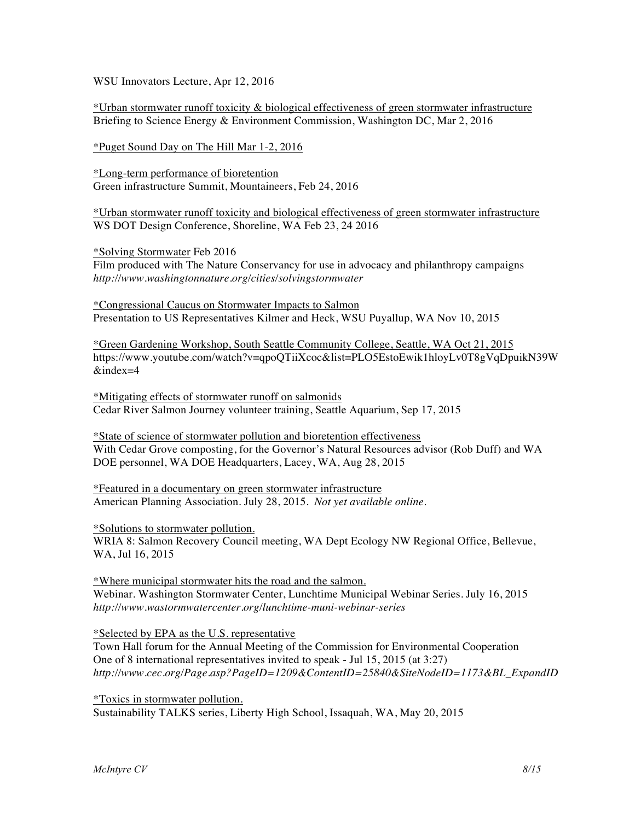WSU Innovators Lecture, Apr 12, 2016

\*Urban stormwater runoff toxicity & biological effectiveness of green stormwater infrastructure Briefing to Science Energy & Environment Commission, Washington DC, Mar 2, 2016

\*Puget Sound Day on The Hill Mar 1-2, 2016

\*Long-term performance of bioretention Green infrastructure Summit, Mountaineers, Feb 24, 2016

\*Urban stormwater runoff toxicity and biological effectiveness of green stormwater infrastructure WS DOT Design Conference, Shoreline, WA Feb 23, 24 2016

\*Solving Stormwater Feb 2016 Film produced with The Nature Conservancy for use in advocacy and philanthropy campaigns *http://www.washingtonnature.org/cities/solvingstormwater*

\*Congressional Caucus on Stormwater Impacts to Salmon Presentation to US Representatives Kilmer and Heck, WSU Puyallup, WA Nov 10, 2015

\*Green Gardening Workshop, South Seattle Community College, Seattle, WA Oct 21, 2015 https://www.youtube.com/watch?v=qpoQTiiXcoc&list=PLO5EstoEwik1hloyLv0T8gVqDpuikN39W &index=4

\*Mitigating effects of stormwater runoff on salmonids Cedar River Salmon Journey volunteer training, Seattle Aquarium, Sep 17, 2015

\*State of science of stormwater pollution and bioretention effectiveness With Cedar Grove composting, for the Governor's Natural Resources advisor (Rob Duff) and WA DOE personnel, WA DOE Headquarters, Lacey, WA, Aug 28, 2015

\*Featured in a documentary on green stormwater infrastructure American Planning Association. July 28, 2015. *Not yet available online.*

\*Solutions to stormwater pollution.

WRIA 8: Salmon Recovery Council meeting, WA Dept Ecology NW Regional Office, Bellevue, WA, Jul 16, 2015

\*Where municipal stormwater hits the road and the salmon. Webinar. Washington Stormwater Center, Lunchtime Municipal Webinar Series. July 16, 2015 *http://www.wastormwatercenter.org/lunchtime-muni-webinar-series*

\*Selected by EPA as the U.S. representative

Town Hall forum for the Annual Meeting of the Commission for Environmental Cooperation One of 8 international representatives invited to speak - Jul 15, 2015 (at 3:27) *http://www.cec.org/Page.asp?PageID=1209&ContentID=25840&SiteNodeID=1173&BL\_ExpandID*

\*Toxics in stormwater pollution. Sustainability TALKS series, Liberty High School, Issaquah, WA, May 20, 2015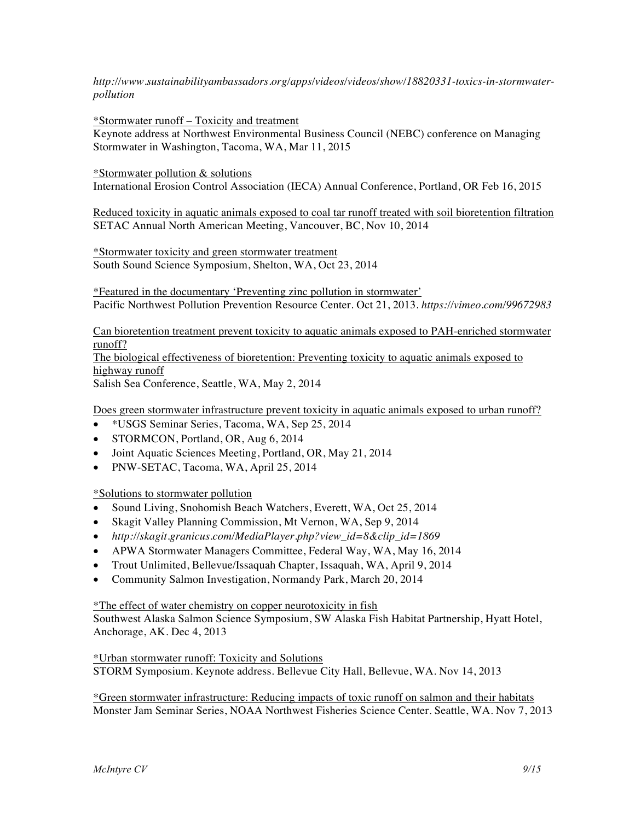*http://www.sustainabilityambassadors.org/apps/videos/videos/show/18820331-toxics-in-stormwaterpollution*

\*Stormwater runoff – Toxicity and treatment

Keynote address at Northwest Environmental Business Council (NEBC) conference on Managing Stormwater in Washington, Tacoma, WA, Mar 11, 2015

\*Stormwater pollution & solutions

International Erosion Control Association (IECA) Annual Conference, Portland, OR Feb 16, 2015

Reduced toxicity in aquatic animals exposed to coal tar runoff treated with soil bioretention filtration SETAC Annual North American Meeting, Vancouver, BC, Nov 10, 2014

\*Stormwater toxicity and green stormwater treatment South Sound Science Symposium, Shelton, WA, Oct 23, 2014

\*Featured in the documentary 'Preventing zinc pollution in stormwater' Pacific Northwest Pollution Prevention Resource Center. Oct 21, 2013. *https://vimeo.com/99672983*

Can bioretention treatment prevent toxicity to aquatic animals exposed to PAH-enriched stormwater runoff?

The biological effectiveness of bioretention: Preventing toxicity to aquatic animals exposed to highway runoff

Salish Sea Conference, Seattle, WA, May 2, 2014

Does green stormwater infrastructure prevent toxicity in aquatic animals exposed to urban runoff?

- \*USGS Seminar Series, Tacoma, WA, Sep 25, 2014
- STORMCON, Portland, OR, Aug 6, 2014
- Joint Aquatic Sciences Meeting, Portland, OR, May 21, 2014
- PNW-SETAC, Tacoma, WA, April 25, 2014

\*Solutions to stormwater pollution

- Sound Living, Snohomish Beach Watchers, Everett, WA, Oct 25, 2014
- Skagit Valley Planning Commission, Mt Vernon, WA, Sep 9, 2014
- *http://skagit.granicus.com/MediaPlayer.php?view\_id=8&clip\_id=1869*
- APWA Stormwater Managers Committee, Federal Way, WA, May 16, 2014
- Trout Unlimited, Bellevue/Issaquah Chapter, Issaquah, WA, April 9, 2014
- Community Salmon Investigation, Normandy Park, March 20, 2014

\*The effect of water chemistry on copper neurotoxicity in fish

Southwest Alaska Salmon Science Symposium, SW Alaska Fish Habitat Partnership, Hyatt Hotel, Anchorage, AK. Dec 4, 2013

\*Urban stormwater runoff: Toxicity and Solutions STORM Symposium. Keynote address. Bellevue City Hall, Bellevue, WA. Nov 14, 2013

\*Green stormwater infrastructure: Reducing impacts of toxic runoff on salmon and their habitats Monster Jam Seminar Series, NOAA Northwest Fisheries Science Center. Seattle, WA. Nov 7, 2013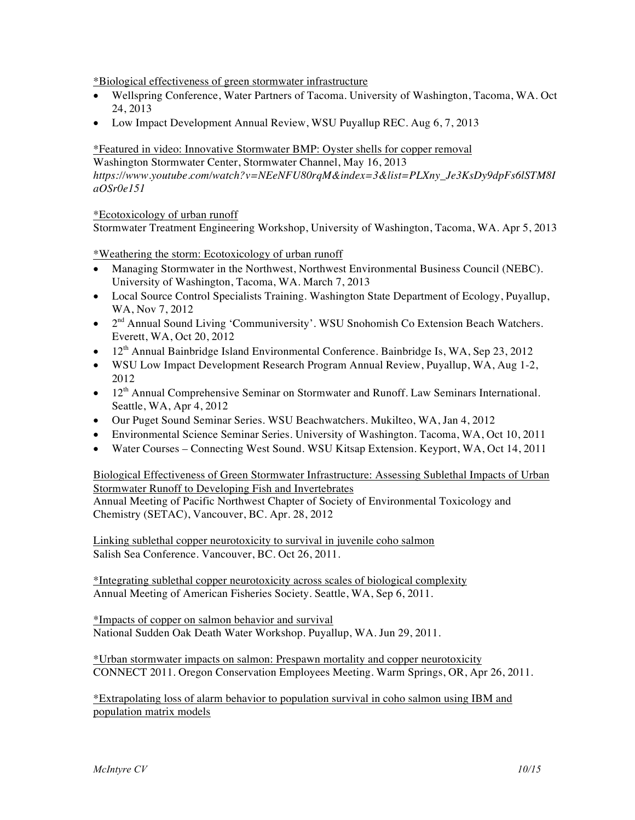\*Biological effectiveness of green stormwater infrastructure

- Wellspring Conference, Water Partners of Tacoma. University of Washington, Tacoma, WA. Oct 24, 2013
- Low Impact Development Annual Review, WSU Puyallup REC. Aug 6, 7, 2013

\*Featured in video: Innovative Stormwater BMP: Oyster shells for copper removal Washington Stormwater Center, Stormwater Channel, May 16, 2013 *https://www.youtube.com/watch?v=NEeNFU80rqM&index=3&list=PLXny\_Je3KsDy9dpFs6lSTM8I aOSr0e151* 

### \*Ecotoxicology of urban runoff

Stormwater Treatment Engineering Workshop, University of Washington, Tacoma, WA. Apr 5, 2013

\*Weathering the storm: Ecotoxicology of urban runoff

- Managing Stormwater in the Northwest, Northwest Environmental Business Council (NEBC). University of Washington, Tacoma, WA. March 7, 2013
- Local Source Control Specialists Training. Washington State Department of Ecology, Puyallup, WA, Nov 7, 2012
- $2<sup>nd</sup>$  Annual Sound Living 'Communiversity'. WSU Snohomish Co Extension Beach Watchers. Everett, WA, Oct 20, 2012
- 12<sup>th</sup> Annual Bainbridge Island Environmental Conference. Bainbridge Is, WA, Sep 23, 2012
- WSU Low Impact Development Research Program Annual Review, Puyallup, WA, Aug 1-2, 2012
- 12<sup>th</sup> Annual Comprehensive Seminar on Stormwater and Runoff. Law Seminars International. Seattle, WA, Apr 4, 2012
- Our Puget Sound Seminar Series. WSU Beachwatchers. Mukilteo, WA, Jan 4, 2012
- Environmental Science Seminar Series. University of Washington. Tacoma, WA, Oct 10, 2011
- Water Courses Connecting West Sound. WSU Kitsap Extension. Keyport, WA, Oct 14, 2011

Biological Effectiveness of Green Stormwater Infrastructure: Assessing Sublethal Impacts of Urban Stormwater Runoff to Developing Fish and Invertebrates Annual Meeting of Pacific Northwest Chapter of Society of Environmental Toxicology and Chemistry (SETAC), Vancouver, BC. Apr. 28, 2012

Linking sublethal copper neurotoxicity to survival in juvenile coho salmon Salish Sea Conference. Vancouver, BC. Oct 26, 2011.

\*Integrating sublethal copper neurotoxicity across scales of biological complexity Annual Meeting of American Fisheries Society. Seattle, WA, Sep 6, 2011.

\*Impacts of copper on salmon behavior and survival National Sudden Oak Death Water Workshop. Puyallup, WA. Jun 29, 2011.

\*Urban stormwater impacts on salmon: Prespawn mortality and copper neurotoxicity CONNECT 2011. Oregon Conservation Employees Meeting. Warm Springs, OR, Apr 26, 2011.

\*Extrapolating loss of alarm behavior to population survival in coho salmon using IBM and population matrix models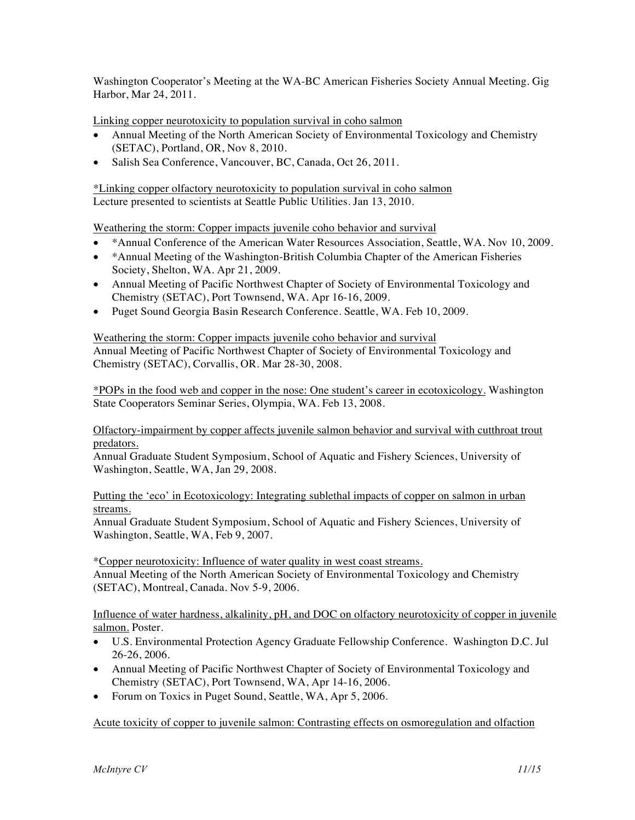Washington Cooperator's Meeting at the WA-BC American Fisheries Society Annual Meeting. Gig Harbor, Mar 24, 2011.

Linking copper neurotoxicity to population survival in coho salmon

- Annual Meeting of the North American Society of Environmental Toxicology and Chemistry (SETAC), Portland, OR, Nov 8, 2010.
- Salish Sea Conference, Vancouver, BC, Canada, Oct 26, 2011.

\*Linking copper olfactory neurotoxicity to population survival in coho salmon Lecture presented to scientists at Seattle Public Utilities. Jan 13, 2010.

Weathering the storm: Copper impacts juvenile coho behavior and survival

- \*Annual Conference of the American Water Resources Association, Seattle, WA. Nov 10, 2009.
- \*Annual Meeting of the Washington-British Columbia Chapter of the American Fisheries Society, Shelton, WA. Apr 21, 2009.
- Annual Meeting of Pacific Northwest Chapter of Society of Environmental Toxicology and Chemistry (SETAC), Port Townsend, WA. Apr 16-16, 2009.
- Puget Sound Georgia Basin Research Conference. Seattle, WA. Feb 10, 2009.

Weathering the storm: Copper impacts juvenile coho behavior and survival Annual Meeting of Pacific Northwest Chapter of Society of Environmental Toxicology and Chemistry (SETAC), Corvallis, OR. Mar 28-30, 2008.

\*POPs in the food web and copper in the nose: One student's career in ecotoxicology. Washington State Cooperators Seminar Series, Olympia, WA. Feb 13, 2008.

Olfactory-impairment by copper affects juvenile salmon behavior and survival with cutthroat trout predators.

Annual Graduate Student Symposium, School of Aquatic and Fishery Sciences, University of Washington, Seattle, WA, Jan 29, 2008.

Putting the 'eco' in Ecotoxicology: Integrating sublethal impacts of copper on salmon in urban streams.

Annual Graduate Student Symposium, School of Aquatic and Fishery Sciences, University of Washington, Seattle, WA, Feb 9, 2007.

\*Copper neurotoxicity: Influence of water quality in west coast streams. Annual Meeting of the North American Society of Environmental Toxicology and Chemistry (SETAC), Montreal, Canada. Nov 5-9, 2006.

Influence of water hardness, alkalinity, pH, and DOC on olfactory neurotoxicity of copper in juvenile salmon. Poster.

- U.S. Environmental Protection Agency Graduate Fellowship Conference. Washington D.C. Jul 26-26, 2006.
- Annual Meeting of Pacific Northwest Chapter of Society of Environmental Toxicology and Chemistry (SETAC), Port Townsend, WA, Apr 14-16, 2006.
- Forum on Toxics in Puget Sound, Seattle, WA, Apr 5, 2006.

Acute toxicity of copper to juvenile salmon: Contrasting effects on osmoregulation and olfaction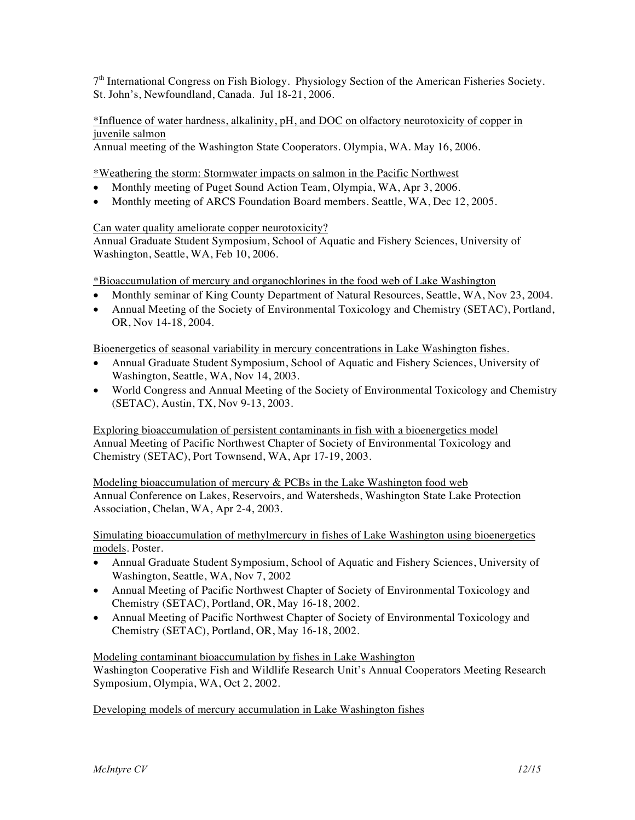$7<sup>th</sup>$  International Congress on Fish Biology. Physiology Section of the American Fisheries Society. St. John's, Newfoundland, Canada. Jul 18-21, 2006.

\*Influence of water hardness, alkalinity, pH, and DOC on olfactory neurotoxicity of copper in juvenile salmon

Annual meeting of the Washington State Cooperators. Olympia, WA. May 16, 2006.

\*Weathering the storm: Stormwater impacts on salmon in the Pacific Northwest

- Monthly meeting of Puget Sound Action Team, Olympia, WA, Apr 3, 2006.
- Monthly meeting of ARCS Foundation Board members. Seattle, WA, Dec 12, 2005.

### Can water quality ameliorate copper neurotoxicity?

Annual Graduate Student Symposium, School of Aquatic and Fishery Sciences, University of Washington, Seattle, WA, Feb 10, 2006.

\*Bioaccumulation of mercury and organochlorines in the food web of Lake Washington

- Monthly seminar of King County Department of Natural Resources, Seattle, WA, Nov 23, 2004.
- Annual Meeting of the Society of Environmental Toxicology and Chemistry (SETAC), Portland, OR, Nov 14-18, 2004.

Bioenergetics of seasonal variability in mercury concentrations in Lake Washington fishes.

- Annual Graduate Student Symposium, School of Aquatic and Fishery Sciences, University of Washington, Seattle, WA, Nov 14, 2003.
- World Congress and Annual Meeting of the Society of Environmental Toxicology and Chemistry (SETAC), Austin, TX, Nov 9-13, 2003.

Exploring bioaccumulation of persistent contaminants in fish with a bioenergetics model Annual Meeting of Pacific Northwest Chapter of Society of Environmental Toxicology and Chemistry (SETAC), Port Townsend, WA, Apr 17-19, 2003.

Modeling bioaccumulation of mercury & PCBs in the Lake Washington food web Annual Conference on Lakes, Reservoirs, and Watersheds, Washington State Lake Protection Association, Chelan, WA, Apr 2-4, 2003.

Simulating bioaccumulation of methylmercury in fishes of Lake Washington using bioenergetics models. Poster.

- Annual Graduate Student Symposium, School of Aquatic and Fishery Sciences, University of Washington, Seattle, WA, Nov 7, 2002
- Annual Meeting of Pacific Northwest Chapter of Society of Environmental Toxicology and Chemistry (SETAC), Portland, OR, May 16-18, 2002.
- Annual Meeting of Pacific Northwest Chapter of Society of Environmental Toxicology and Chemistry (SETAC), Portland, OR, May 16-18, 2002.

Modeling contaminant bioaccumulation by fishes in Lake Washington Washington Cooperative Fish and Wildlife Research Unit's Annual Cooperators Meeting Research Symposium, Olympia, WA, Oct 2, 2002.

Developing models of mercury accumulation in Lake Washington fishes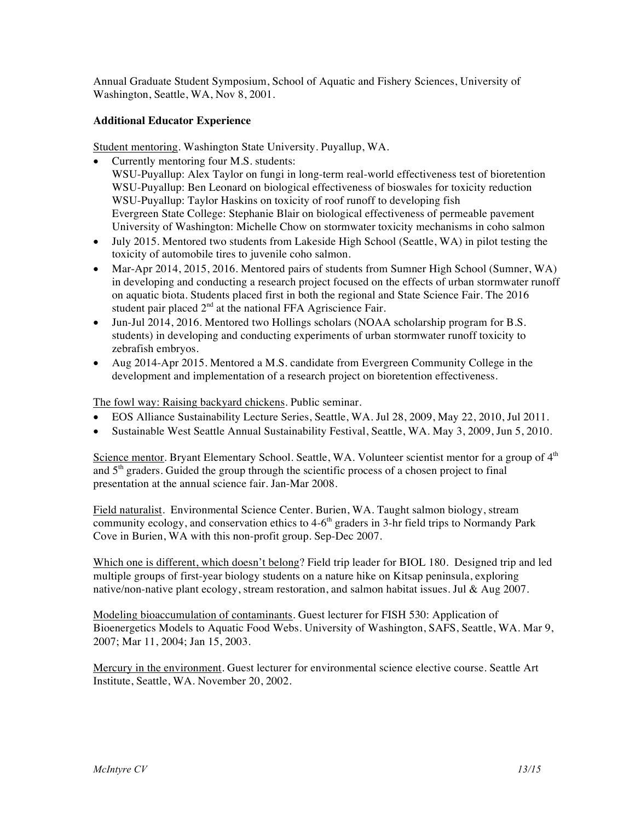Annual Graduate Student Symposium, School of Aquatic and Fishery Sciences, University of Washington, Seattle, WA, Nov 8, 2001.

## **Additional Educator Experience**

Student mentoring. Washington State University. Puyallup, WA.

- Currently mentoring four M.S. students: WSU-Puyallup: Alex Taylor on fungi in long-term real-world effectiveness test of bioretention WSU-Puyallup: Ben Leonard on biological effectiveness of bioswales for toxicity reduction WSU-Puyallup: Taylor Haskins on toxicity of roof runoff to developing fish Evergreen State College: Stephanie Blair on biological effectiveness of permeable pavement University of Washington: Michelle Chow on stormwater toxicity mechanisms in coho salmon
- July 2015. Mentored two students from Lakeside High School (Seattle, WA) in pilot testing the toxicity of automobile tires to juvenile coho salmon.
- Mar-Apr 2014, 2015, 2016. Mentored pairs of students from Sumner High School (Sumner, WA) in developing and conducting a research project focused on the effects of urban stormwater runoff on aquatic biota. Students placed first in both the regional and State Science Fair. The 2016 student pair placed 2<sup>nd</sup> at the national FFA Agriscience Fair.
- Jun-Jul 2014, 2016. Mentored two Hollings scholars (NOAA scholarship program for B.S. students) in developing and conducting experiments of urban stormwater runoff toxicity to zebrafish embryos.
- Aug 2014-Apr 2015. Mentored a M.S. candidate from Evergreen Community College in the development and implementation of a research project on bioretention effectiveness.

The fowl way: Raising backyard chickens. Public seminar.

- EOS Alliance Sustainability Lecture Series, Seattle, WA. Jul 28, 2009, May 22, 2010, Jul 2011.
- Sustainable West Seattle Annual Sustainability Festival, Seattle, WA. May 3, 2009, Jun 5, 2010.

Science mentor. Bryant Elementary School. Seattle, WA. Volunteer scientist mentor for a group of  $4<sup>th</sup>$ and  $5<sup>th</sup>$  graders. Guided the group through the scientific process of a chosen project to final presentation at the annual science fair. Jan-Mar 2008.

Field naturalist. Environmental Science Center. Burien, WA. Taught salmon biology, stream community ecology, and conservation ethics to  $4-6<sup>th</sup>$  graders in 3-hr field trips to Normandy Park Cove in Burien, WA with this non-profit group. Sep-Dec 2007.

Which one is different, which doesn't belong? Field trip leader for BIOL 180. Designed trip and led multiple groups of first-year biology students on a nature hike on Kitsap peninsula, exploring native/non-native plant ecology, stream restoration, and salmon habitat issues. Jul & Aug 2007.

Modeling bioaccumulation of contaminants. Guest lecturer for FISH 530: Application of Bioenergetics Models to Aquatic Food Webs. University of Washington, SAFS, Seattle, WA. Mar 9, 2007; Mar 11, 2004; Jan 15, 2003.

Mercury in the environment. Guest lecturer for environmental science elective course. Seattle Art Institute, Seattle, WA. November 20, 2002.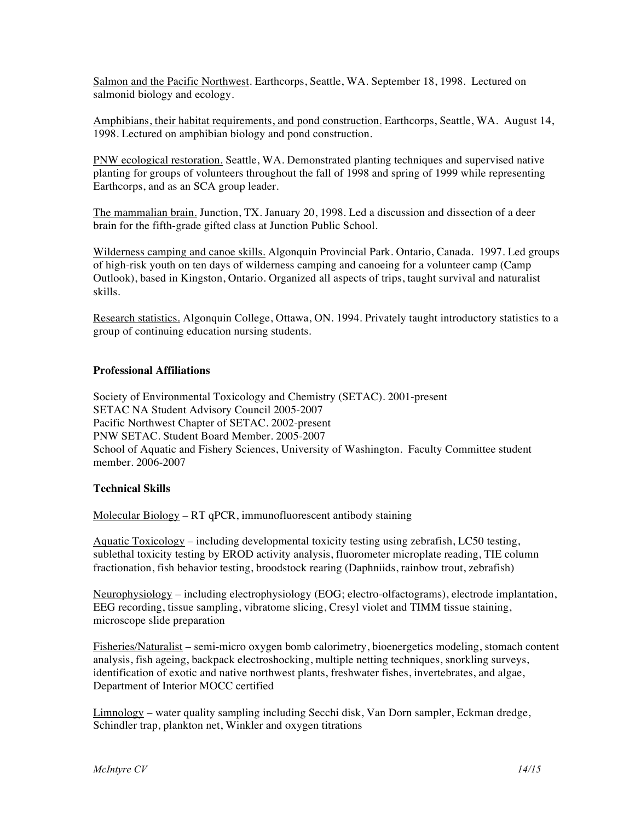Salmon and the Pacific Northwest. Earthcorps, Seattle, WA. September 18, 1998. Lectured on salmonid biology and ecology.

Amphibians, their habitat requirements, and pond construction. Earthcorps, Seattle, WA. August 14, 1998. Lectured on amphibian biology and pond construction.

PNW ecological restoration. Seattle, WA. Demonstrated planting techniques and supervised native planting for groups of volunteers throughout the fall of 1998 and spring of 1999 while representing Earthcorps, and as an SCA group leader.

The mammalian brain. Junction, TX. January 20, 1998. Led a discussion and dissection of a deer brain for the fifth-grade gifted class at Junction Public School.

Wilderness camping and canoe skills. Algonquin Provincial Park. Ontario, Canada. 1997. Led groups of high-risk youth on ten days of wilderness camping and canoeing for a volunteer camp (Camp Outlook), based in Kingston, Ontario. Organized all aspects of trips, taught survival and naturalist skills.

Research statistics. Algonquin College, Ottawa, ON. 1994. Privately taught introductory statistics to a group of continuing education nursing students.

#### **Professional Affiliations**

Society of Environmental Toxicology and Chemistry (SETAC). 2001-present SETAC NA Student Advisory Council 2005-2007 Pacific Northwest Chapter of SETAC. 2002-present PNW SETAC. Student Board Member. 2005-2007 School of Aquatic and Fishery Sciences, University of Washington. Faculty Committee student member. 2006-2007

#### **Technical Skills**

Molecular Biology – RT qPCR, immunofluorescent antibody staining

Aquatic Toxicology – including developmental toxicity testing using zebrafish, LC50 testing, sublethal toxicity testing by EROD activity analysis, fluorometer microplate reading, TIE column fractionation, fish behavior testing, broodstock rearing (Daphniids, rainbow trout, zebrafish)

Neurophysiology – including electrophysiology (EOG; electro-olfactograms), electrode implantation, EEG recording, tissue sampling, vibratome slicing, Cresyl violet and TIMM tissue staining, microscope slide preparation

Fisheries/Naturalist – semi-micro oxygen bomb calorimetry, bioenergetics modeling, stomach content analysis, fish ageing, backpack electroshocking, multiple netting techniques, snorkling surveys, identification of exotic and native northwest plants, freshwater fishes, invertebrates, and algae, Department of Interior MOCC certified

Limnology – water quality sampling including Secchi disk, Van Dorn sampler, Eckman dredge, Schindler trap, plankton net, Winkler and oxygen titrations